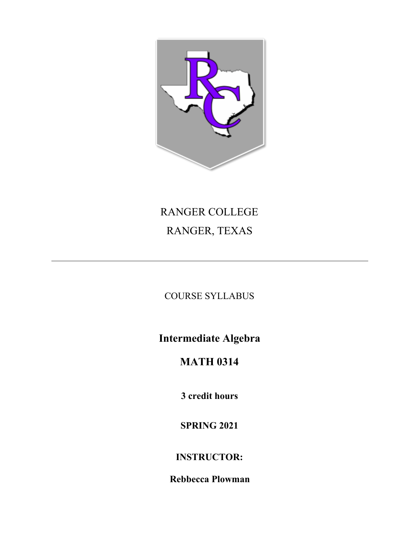

# RANGER COLLEGE RANGER, TEXAS

COURSE SYLLABUS

**Intermediate Algebra**

# **MATH 0314**

**3 credit hours**

**SPRING 2021**

**INSTRUCTOR:**

**Rebbecca Plowman**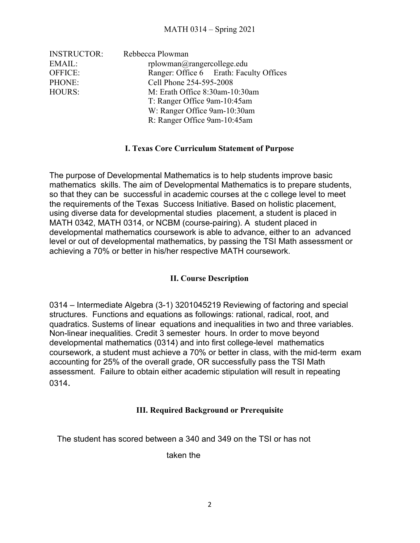| <b>INSTRUCTOR:</b> | Rebbecca Plowman                                               |                                         |  |  |
|--------------------|----------------------------------------------------------------|-----------------------------------------|--|--|
| EMAIL:             | $r$ plowman $@r$ angercollege.edu                              |                                         |  |  |
| OFFICE:            |                                                                | Ranger: Office 6 Erath: Faculty Offices |  |  |
| PHONE:             | Cell Phone 254-595-2008                                        |                                         |  |  |
| HOURS:             | M: Erath Office 8:30am-10:30am<br>T: Ranger Office 9am-10:45am |                                         |  |  |
|                    |                                                                |                                         |  |  |
|                    |                                                                | W: Ranger Office 9am-10:30am            |  |  |
|                    | R: Ranger Office 9am-10:45am                                   |                                         |  |  |

## **I. Texas Core Curriculum Statement of Purpose**

The purpose of Developmental Mathematics is to help students improve basic mathematics skills. The aim of Developmental Mathematics is to prepare students, so that they can be successful in academic courses at the c college level to meet the requirements of the Texas Success Initiative. Based on holistic placement, using diverse data for developmental studies placement, a student is placed in MATH 0342, MATH 0314, or NCBM (course-pairing). A student placed in developmental mathematics coursework is able to advance, either to an advanced level or out of developmental mathematics, by passing the TSI Math assessment or achieving a 70% or better in his/her respective MATH coursework.

# **II. Course Description**

0314 – Intermediate Algebra (3-1) 3201045219 Reviewing of factoring and special structures. Functions and equations as followings: rational, radical, root, and quadratics. Sustems of linear equations and inequalities in two and three variables. Non-linear inequalities. Credit 3 semester hours. In order to move beyond developmental mathematics (0314) and into first college-level mathematics coursework, a student must achieve a 70% or better in class, with the mid-term exam accounting for 25% of the overall grade, OR successfully pass the TSI Math assessment. Failure to obtain either academic stipulation will result in repeating 0314.

### **III. Required Background or Prerequisite**

The student has scored between a 340 and 349 on the TSI or has not

taken the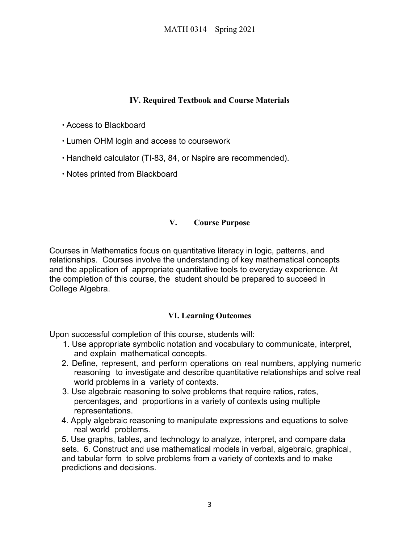# **IV. Required Textbook and Course Materials**

∙ Access to Blackboard

- ∙ Lumen OHM login and access to coursework
- ∙ Handheld calculator (TI-83, 84, or Nspire are recommended).

∙ Notes printed from Blackboard

# **V. Course Purpose**

Courses in Mathematics focus on quantitative literacy in logic, patterns, and relationships. Courses involve the understanding of key mathematical concepts and the application of appropriate quantitative tools to everyday experience. At the completion of this course, the student should be prepared to succeed in College Algebra.

# **VI. Learning Outcomes**

Upon successful completion of this course, students will:

- 1. Use appropriate symbolic notation and vocabulary to communicate, interpret, and explain mathematical concepts.
- 2. Define, represent, and perform operations on real numbers, applying numeric reasoning to investigate and describe quantitative relationships and solve real world problems in a variety of contexts.
- 3. Use algebraic reasoning to solve problems that require ratios, rates, percentages, and proportions in a variety of contexts using multiple representations.
- 4. Apply algebraic reasoning to manipulate expressions and equations to solve real world problems.

5. Use graphs, tables, and technology to analyze, interpret, and compare data sets. 6. Construct and use mathematical models in verbal, algebraic, graphical, and tabular form to solve problems from a variety of contexts and to make predictions and decisions.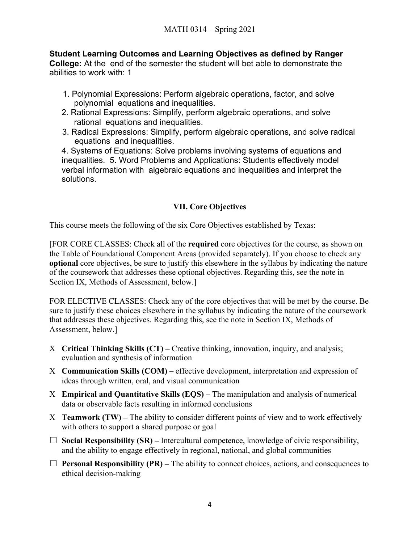**Student Learning Outcomes and Learning Objectives as defined by Ranger College:** At the end of the semester the student will bet able to demonstrate the abilities to work with: 1

- 1. Polynomial Expressions: Perform algebraic operations, factor, and solve polynomial equations and inequalities.
- 2. Rational Expressions: Simplify, perform algebraic operations, and solve rational equations and inequalities.
- 3. Radical Expressions: Simplify, perform algebraic operations, and solve radical equations and inequalities.

4. Systems of Equations: Solve problems involving systems of equations and inequalities. 5. Word Problems and Applications: Students effectively model verbal information with algebraic equations and inequalities and interpret the solutions.

# **VII. Core Objectives**

This course meets the following of the six Core Objectives established by Texas:

[FOR CORE CLASSES: Check all of the **required** core objectives for the course, as shown on the Table of Foundational Component Areas (provided separately). If you choose to check any **optional** core objectives, be sure to justify this elsewhere in the syllabus by indicating the nature of the coursework that addresses these optional objectives. Regarding this, see the note in Section IX, Methods of Assessment, below.]

FOR ELECTIVE CLASSES: Check any of the core objectives that will be met by the course. Be sure to justify these choices elsewhere in the syllabus by indicating the nature of the coursework that addresses these objectives. Regarding this, see the note in Section IX, Methods of Assessment, below.]

- X **Critical Thinking Skills (CT)** Creative thinking, innovation, inquiry, and analysis; evaluation and synthesis of information
- X **Communication Skills (COM)** effective development, interpretation and expression of ideas through written, oral, and visual communication
- X **Empirical and Quantitative Skills (EQS)** The manipulation and analysis of numerical data or observable facts resulting in informed conclusions
- X **Teamwork (TW)** The ability to consider different points of view and to work effectively with others to support a shared purpose or goal
- $\Box$  **Social Responsibility (SR)** Intercultural competence, knowledge of civic responsibility, and the ability to engage effectively in regional, national, and global communities
- $\Box$  **Personal Responsibility (PR)** The ability to connect choices, actions, and consequences to ethical decision-making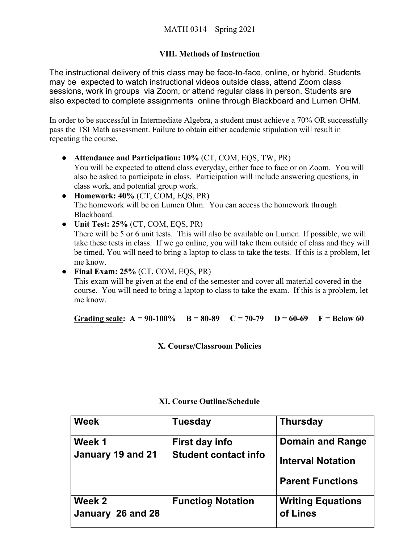# **VIII. Methods of Instruction**

The instructional delivery of this class may be face-to-face, online, or hybrid. Students may be expected to watch instructional videos outside class, attend Zoom class sessions, work in groups via Zoom, or attend regular class in person. Students are also expected to complete assignments online through Blackboard and Lumen OHM.

In order to be successful in Intermediate Algebra, a student must achieve a 70% OR successfully pass the TSI Math assessment. Failure to obtain either academic stipulation will result in repeating the course**.**

- **● Attendance and Participation: 10%** (CT, COM, EQS, TW, PR) You will be expected to attend class everyday, either face to face or on Zoom. You will also be asked to participate in class. Participation will include answering questions, in class work, and potential group work.
- **● Homework: 40%** (CT, COM, EQS, PR) The homework will be on Lumen Ohm. You can access the homework through Blackboard.
- **● Unit Test: 25%** (CT, COM, EQS, PR) There will be 5 or 6 unit tests. This will also be available on Lumen. If possible, we will take these tests in class. If we go online, you will take them outside of class and they will be timed. You will need to bring a laptop to class to take the tests. If this is a problem, let me know.

**● Final Exam: 25%** (CT, COM, EQS, PR) This exam will be given at the end of the semester and cover all material covered in the course. You will need to bring a laptop to class to take the exam. If this is a problem, let me know.

Grading scale:  $A = 90-100\%$   $B = 80-89$   $C = 70-79$   $D = 60-69$   $F = Below 60$ 

**X. Course/Classroom Policies**

| <b>Week</b>       | <b>Tuesday</b>              | <b>Thursday</b>          |
|-------------------|-----------------------------|--------------------------|
| Week 1            | First day info              | <b>Domain and Range</b>  |
| January 19 and 21 | <b>Student contact info</b> | <b>Interval Notation</b> |
|                   |                             | <b>Parent Functions</b>  |
| Week 2            | <b>Function Notation</b>    | <b>Writing Equations</b> |
| January 26 and 28 |                             | of Lines                 |

# **XI. Course Outline/Schedule**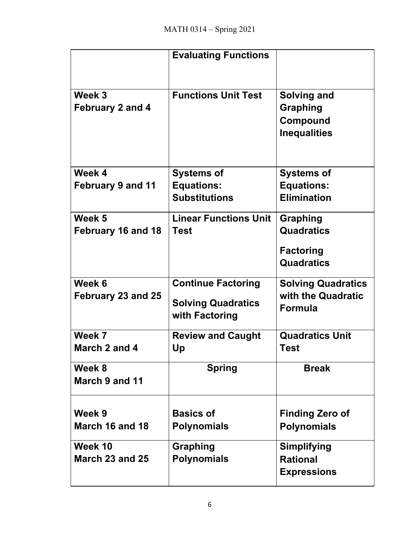|                                   | <b>Evaluating Functions</b>                 |                                                                   |
|-----------------------------------|---------------------------------------------|-------------------------------------------------------------------|
| Week 3<br><b>February 2 and 4</b> | <b>Functions Unit Test</b>                  | <b>Solving and</b><br>Graphing<br>Compound<br><b>Inequalities</b> |
| Week 4                            | <b>Systems of</b>                           | <b>Systems of</b>                                                 |
| <b>February 9 and 11</b>          | <b>Equations:</b>                           | <b>Equations:</b>                                                 |
|                                   | <b>Substitutions</b>                        | <b>Elimination</b>                                                |
| Week 5                            | <b>Linear Functions Unit</b>                | Graphing                                                          |
| February 16 and 18                | <b>Test</b>                                 | <b>Quadratics</b>                                                 |
|                                   |                                             | <b>Factoring</b><br><b>Quadratics</b>                             |
| Week 6                            | <b>Continue Factoring</b>                   | <b>Solving Quadratics</b>                                         |
| February 23 and 25                | <b>Solving Quadratics</b><br>with Factoring | with the Quadratic<br><b>Formula</b>                              |
| Week 7                            | <b>Review and Caught</b>                    | <b>Quadratics Unit</b>                                            |
| March 2 and 4                     | Up                                          | <b>Test</b>                                                       |
| Week 8<br>March 9 and 11          | <b>Spring</b>                               | <b>Break</b>                                                      |
| Week 9                            | <b>Basics of</b>                            | <b>Finding Zero of</b>                                            |
| March 16 and 18                   | <b>Polynomials</b>                          | <b>Polynomials</b>                                                |
| Week 10                           | Graphing                                    | <b>Simplifying</b>                                                |
| March 23 and 25                   | <b>Polynomials</b>                          | <b>Rational</b>                                                   |
|                                   |                                             | <b>Expressions</b>                                                |